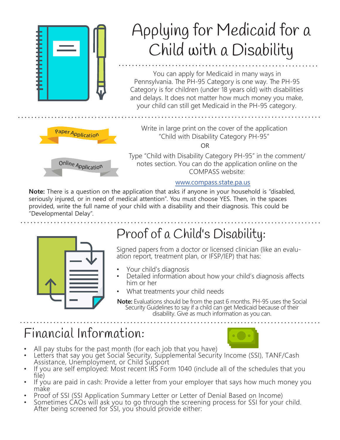

### www.compass.state.pa.us

**Note:** There is a question on the application that asks if anyone in your household is "disabled, seriously injured, or in need of medical attention". You must choose YES. Then, in the spaces provided, write the full name of your child with a disability and their diagnosis. This could be "Developmental Delay".



## Proof of a Child's Disability:

Signed papers from a doctor or licensed clinician (like an evalu- ation report, treatment plan, or IFSP/IEP) that has:

- 
- Your child's diagnosis Detailed information about how your child's diagnosis affects him or her
- What treatments your child needs
- **Note:** Evaluations should be from the past 6 months. PH-95 uses the Social Security Guidelines to say if a child can get Medicaid because of their disability. Give as much information as you can.

### Financial Information:



- All pay stubs for the past month (for each job that you have)
- Letters that say you get Social Security, Supplemental Security Income (SSI), TANF/Cash Assistance, Unemployment, or Child Support
- If you are self employed: Most recent IRS Form 1040 (include all of the schedules that you file)
- If you are paid in cash: Provide a letter from your employer that says how much money you<br>make
- 
- make<br>• Proof of SSI (SSI Application Summary Letter or Letter of Denial Based on Income)<br>• Sometimes CAOs will ask you to go through the screening process for SSI for your child. After being screened for SSI, you should provide either: